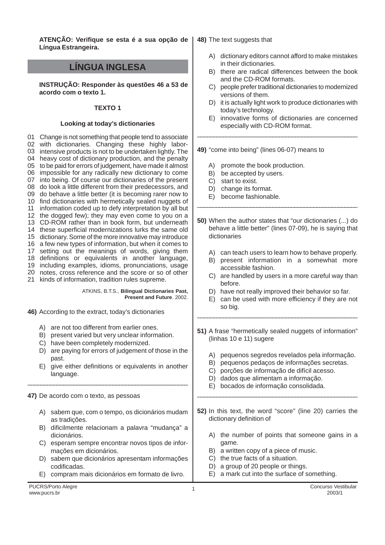**ATENÇÃO: Verifique se esta é a sua opção de 48)** The text suggests that **Língua Estrangeira.**

# **LÍNGUA INGLESA**

**INSTRUÇÃO: Responder às questões 46 a 53 de acordo com o texto 1.**

# **TEXTO 1**

## **Looking at today's dictionaries**

 Change is not something that people tend to associate with dictionaries. Changing these highly labor- intensive products is not to be undertaken lightly. The heavy cost of dictionary production, and the penalty to be paid for errors of judgement, have made it almost impossible for any radically new dictionary to come into being. Of course our dictionaries of the present do look a little different from their predecessors, and do behave a little better (it is becoming rarer now to find dictionaries with hermetically sealed nuggets of information coded up to defy interpretation by all but the dogged few); they may even come to you on a CD-ROM rather than in book form, but underneath these superficial modernizations lurks the same old dictionary. Some of the more innovative may introduce a few new types of information, but when it comes to setting out the meanings of words, giving them 18 including examples, idioms, pronunciations, usage notes, cross reference and the score or so of other kinds of information, tradition rules supreme. definitions or equivalents in another language,

> ATKINS, B.T.S., **Bilingual Dictionaries Past, Present and Future**. 2002.

**46)** According to the extract, today's dictionaries

- A) are not too different from earlier ones.
- B) present varied but very unclear information.
- C) have been completely modernized.
- D) are paying for errors of judgement of those in the past.
- E) give either definitions or equivalents in another language.

\_\_\_\_\_\_\_\_\_\_\_\_\_\_\_\_\_\_\_\_\_\_\_\_\_\_\_\_\_\_\_\_\_\_\_\_\_\_\_\_\_\_\_\_\_\_\_\_\_

**47)** De acordo com o texto, as pessoas

- A) sabem que, com o tempo, os dicionários mudam as tradições.
- B) dificilmente relacionam a palavra "mudança" a dicionários.
- C) esperam sempre encontrar novos tipos de informações em dicionários.
- D) sabem que dicionários apresentam informações codificadas.
- E) compram mais dicionários em formato de livro.

- A) dictionary editors cannot afford to make mistakes in their dictionaries.
- B) there are radical differences between the book and the CD-ROM formats.
- C) people prefer traditional dictionaries to modernized versions of them.
- D) it is actually light work to produce dictionaries with today's technology.
- E) innovative forms of dictionaries are concerned especially with CD-ROM format.

\_\_\_\_\_\_\_\_\_\_\_\_\_\_\_\_\_\_\_\_\_\_\_\_\_\_\_\_\_\_\_\_\_\_\_\_\_\_\_\_\_\_\_\_\_\_\_\_\_

- **49)** "come into being" (lines 06-07) means to
	- A) promote the book production.
	- B) be accepted by users.
	- C) start to exist.
	- D) change its format.
	- E) become fashionable.
- **50)** When the author states that "our dictionaries (...) do behave a little better" (lines 07-09), he is saying that dictionaries

\_\_\_\_\_\_\_\_\_\_\_\_\_\_\_\_\_\_\_\_\_\_\_\_\_\_\_\_\_\_\_\_\_\_\_\_\_\_\_\_\_\_\_\_\_\_\_\_\_\_\_

- A) can teach users to learn how to behave properly.
- B) present information in a somewhat more accessible fashion.
- C) are handled by users in a more careful way than before.
- D) have not really improved their behavior so far.
- E) can be used with more efficiency if they are not so big.
- **51)** A frase "hermetically sealed nuggets of information" (linhas 10 e 11) sugere

\_\_\_\_\_\_\_\_\_\_\_\_\_\_\_\_\_\_\_\_\_\_\_\_\_\_\_\_\_\_\_\_\_\_\_\_\_\_\_\_\_\_\_\_\_\_\_\_\_

- A) pequenos segredos revelados pela informação.
- B) pequenos pedaços de informações secretas.
- C) porções de informação de difícil acesso.
- D) dados que alimentam a informação.
- E) bocados de informação consolidada.
- **52)** In this text, the word "score" (line 20) carries the dictionary definition of

\_\_\_\_\_\_\_\_\_\_\_\_\_\_\_\_\_\_\_\_\_\_\_\_\_\_\_\_\_\_\_\_\_\_\_\_\_\_\_\_\_\_\_\_\_\_\_\_\_

- A) the number of points that someone gains in a game.
- B) a written copy of a piece of music.
- C) the true facts of a situation.
- D) a group of 20 people or things.
- E) a mark cut into the surface of something.